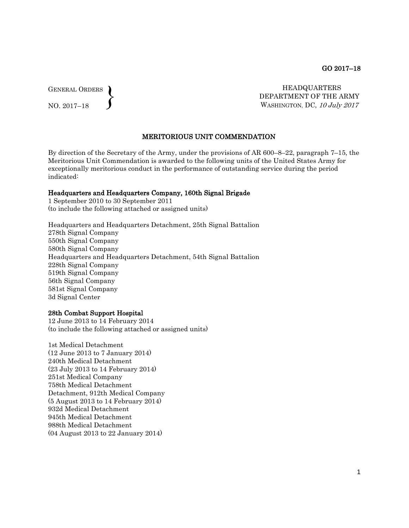GENERAL ORDERS  $\left\{ \right\}$ 

NO. 2017–18

**HEADQUARTERS** DEPARTMENT OF THE ARMY WASHINGTON, DC, 10 July 2017

### MERITORIOUS UNIT COMMENDATION

By direction of the Secretary of the Army, under the provisions of AR 600–8–22, paragraph 7–15, the Meritorious Unit Commendation is awarded to the following units of the United States Army for exceptionally meritorious conduct in the performance of outstanding service during the period indicated:

### Headquarters and Headquarters Company, 160th Signal Brigade

1 September 2010 to 30 September 2011 (to include the following attached or assigned units)

Headquarters and Headquarters Detachment, 25th Signal Battalion 278th Signal Company 550th Signal Company 580th Signal Company Headquarters and Headquarters Detachment, 54th Signal Battalion 228th Signal Company 519th Signal Company 56th Signal Company 581st Signal Company 3d Signal Center

#### 28th Combat Support Hospital

12 June 2013 to 14 February 2014 (to include the following attached or assigned units)

1st Medical Detachment (12 June 2013 to 7 January 2014) 240th Medical Detachment (23 July 2013 to 14 February 2014) 251st Medical Company 758th Medical Detachment Detachment, 912th Medical Company (5 August 2013 to 14 February 2014) 932d Medical Detachment 945th Medical Detachment 988th Medical Detachment (04 August 2013 to 22 January 2014)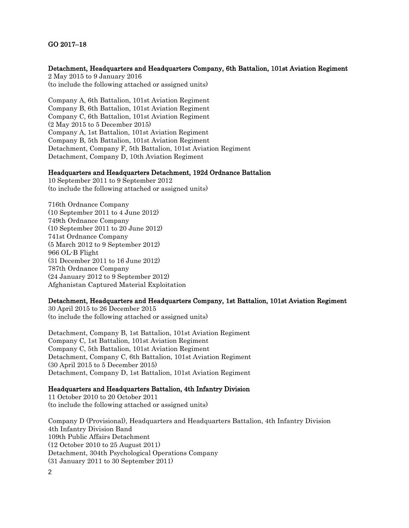# GO 2017–18

### Detachment, Headquarters and Headquarters Company, 6th Battalion, 101st Aviation Regiment

2 May 2015 to 9 January 2016 (to include the following attached or assigned units)

Company A, 6th Battalion, 101st Aviation Regiment Company B, 6th Battalion, 101st Aviation Regiment Company C, 6th Battalion, 101st Aviation Regiment (2 May 2015 to 5 December 2015) Company A, 1st Battalion, 101st Aviation Regiment Company B, 5th Battalion, 101st Aviation Regiment Detachment, Company F, 5th Battalion, 101st Aviation Regiment Detachment, Company D, 10th Aviation Regiment

#### Headquarters and Headquarters Detachment, 192d Ordnance Battalion

10 September 2011 to 9 September 2012 (to include the following attached or assigned units)

716th Ordnance Company (10 September 2011 to 4 June 2012) 749th Ordnance Company (10 September 2011 to 20 June 2012) 741st Ordnance Company (5 March 2012 to 9 September 2012) 966 OL-B Flight (31 December 2011 to 16 June 2012) 787th Ordnance Company (24 January 2012 to 9 September 2012) Afghanistan Captured Material Exploitation

#### Detachment, Headquarters and Headquarters Company, 1st Battalion, 101st Aviation Regiment

30 April 2015 to 26 December 2015 (to include the following attached or assigned units)

Detachment, Company B, 1st Battalion, 101st Aviation Regiment Company C, 1st Battalion, 101st Aviation Regiment Company C, 5th Battalion, 101st Aviation Regiment Detachment, Company C, 6th Battalion, 101st Aviation Regiment (30 April 2015 to 5 December 2015) Detachment, Company D, 1st Battalion, 101st Aviation Regiment

### Headquarters and Headquarters Battalion, 4th Infantry Division

11 October 2010 to 20 October 2011 (to include the following attached or assigned units)

Company D (Provisional), Headquarters and Headquarters Battalion, 4th Infantry Division 4th Infantry Division Band 109th Public Affairs Detachment (12 October 2010 to 25 August 2011) Detachment, 304th Psychological Operations Company (31 January 2011 to 30 September 2011)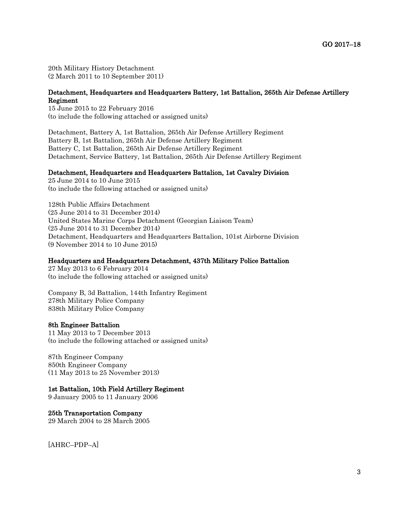20th Military History Detachment (2 March 2011 to 10 September 2011)

## Detachment, Headquarters and Headquarters Battery, 1st Battalion, 265th Air Defense Artillery Regiment

15 June 2015 to 22 February 2016 (to include the following attached or assigned units)

Detachment, Battery A, 1st Battalion, 265th Air Defense Artillery Regiment Battery B, 1st Battalion, 265th Air Defense Artillery Regiment Battery C, 1st Battalion, 265th Air Defense Artillery Regiment Detachment, Service Battery, 1st Battalion, 265th Air Defense Artillery Regiment

## Detachment, Headquarters and Headquarters Battalion, 1st Cavalry Division

25 June 2014 to 10 June 2015 (to include the following attached or assigned units)

128th Public Affairs Detachment (25 June 2014 to 31 December 2014) United States Marine Corps Detachment (Georgian Liaison Team) (25 June 2014 to 31 December 2014) Detachment, Headquarters and Headquarters Battalion, 101st Airborne Division (9 November 2014 to 10 June 2015)

### Headquarters and Headquarters Detachment, 437th Military Police Battalion

27 May 2013 to 6 February 2014 (to include the following attached or assigned units)

Company B, 3d Battalion, 144th Infantry Regiment 278th Military Police Company 838th Military Police Company

#### 8th Engineer Battalion

11 May 2013 to 7 December 2013 (to include the following attached or assigned units)

87th Engineer Company 850th Engineer Company (11 May 2013 to 25 November 2013)

## 1st Battalion, 10th Field Artillery Regiment

9 January 2005 to 11 January 2006

#### 25th Transportation Company

29 March 2004 to 28 March 2005

[AHRC–PDP–A]